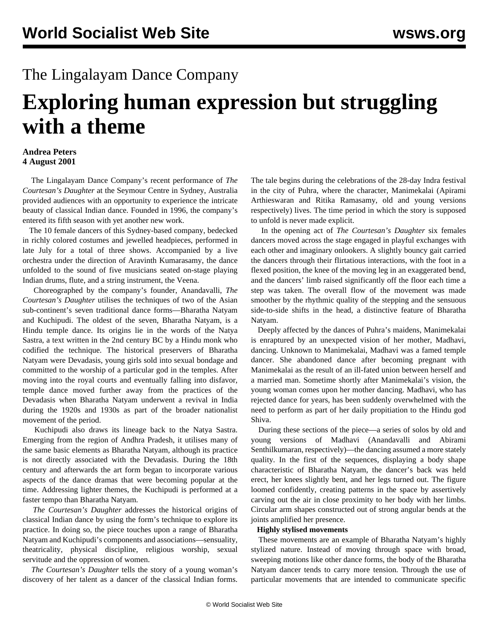## The Lingalayam Dance Company

# **Exploring human expression but struggling with a theme**

#### **Andrea Peters 4 August 2001**

 The Lingalayam Dance Company's recent performance of *The Courtesan's Daughter* at the Seymour Centre in Sydney, Australia provided audiences with an opportunity to experience the intricate beauty of classical Indian dance. Founded in 1996, the company's entered its fifth season with yet another new work.

 The 10 female dancers of this Sydney-based company, bedecked in richly colored costumes and jewelled headpieces, performed in late July for a total of three shows. Accompanied by a live orchestra under the direction of Aravinth Kumarasamy, the dance unfolded to the sound of five musicians seated on-stage playing Indian drums, flute, and a string instrument, the Veena.

 Choreographed by the company's founder, Anandavalli, *The Courtesan's Daughter* utilises the techniques of two of the Asian sub-continent's seven traditional dance forms—Bharatha Natyam and Kuchipudi. The oldest of the seven, Bharatha Natyam, is a Hindu temple dance. Its origins lie in the words of the Natya Sastra, a text written in the 2nd century BC by a Hindu monk who codified the technique. The historical preservers of Bharatha Natyam were Devadasis, young girls sold into sexual bondage and committed to the worship of a particular god in the temples. After moving into the royal courts and eventually falling into disfavor, temple dance moved further away from the practices of the Devadasis when Bharatha Natyam underwent a revival in India during the 1920s and 1930s as part of the broader nationalist movement of the period.

 Kuchipudi also draws its lineage back to the Natya Sastra. Emerging from the region of Andhra Pradesh, it utilises many of the same basic elements as Bharatha Natyam, although its practice is not directly associated with the Devadasis. During the 18th century and afterwards the art form began to incorporate various aspects of the dance dramas that were becoming popular at the time. Addressing lighter themes, the Kuchipudi is performed at a faster tempo than Bharatha Natyam.

 *The Courtesan's Daughter* addresses the historical origins of classical Indian dance by using the form's technique to explore its practice. In doing so, the piece touches upon a range of Bharatha Natyam and Kuchipudi's components and associations—sensuality, theatricality, physical discipline, religious worship, sexual servitude and the oppression of women.

 *The Courtesan's Daughter* tells the story of a young woman's discovery of her talent as a dancer of the classical Indian forms.

The tale begins during the celebrations of the 28-day Indra festival in the city of Puhra, where the character, Manimekalai (Apirami Arthieswaran and Ritika Ramasamy, old and young versions respectively) lives. The time period in which the story is supposed to unfold is never made explicit.

 In the opening act of *The Courtesan's Daughter* six females dancers moved across the stage engaged in playful exchanges with each other and imaginary onlookers. A slightly bouncy gait carried the dancers through their flirtatious interactions, with the foot in a flexed position, the knee of the moving leg in an exaggerated bend, and the dancers' limb raised significantly off the floor each time a step was taken. The overall flow of the movement was made smoother by the rhythmic quality of the stepping and the sensuous side-to-side shifts in the head, a distinctive feature of Bharatha Natyam.

 Deeply affected by the dances of Puhra's maidens, Manimekalai is enraptured by an unexpected vision of her mother, Madhavi, dancing. Unknown to Manimekalai, Madhavi was a famed temple dancer. She abandoned dance after becoming pregnant with Manimekalai as the result of an ill-fated union between herself and a married man. Sometime shortly after Manimekalai's vision, the young woman comes upon her mother dancing. Madhavi, who has rejected dance for years, has been suddenly overwhelmed with the need to perform as part of her daily propitiation to the Hindu god Shiva.

 During these sections of the piece—a series of solos by old and young versions of Madhavi (Anandavalli and Abirami Senthilkumaran, respectively)—the dancing assumed a more stately quality. In the first of the sequences, displaying a body shape characteristic of Bharatha Natyam, the dancer's back was held erect, her knees slightly bent, and her legs turned out. The figure loomed confidently, creating patterns in the space by assertively carving out the air in close proximity to her body with her limbs. Circular arm shapes constructed out of strong angular bends at the joints amplified her presence.

#### **Highly stylised movements**

 These movements are an example of Bharatha Natyam's highly stylized nature. Instead of moving through space with broad, sweeping motions like other dance forms, the body of the Bharatha Natyam dancer tends to carry more tension. Through the use of particular movements that are intended to communicate specific